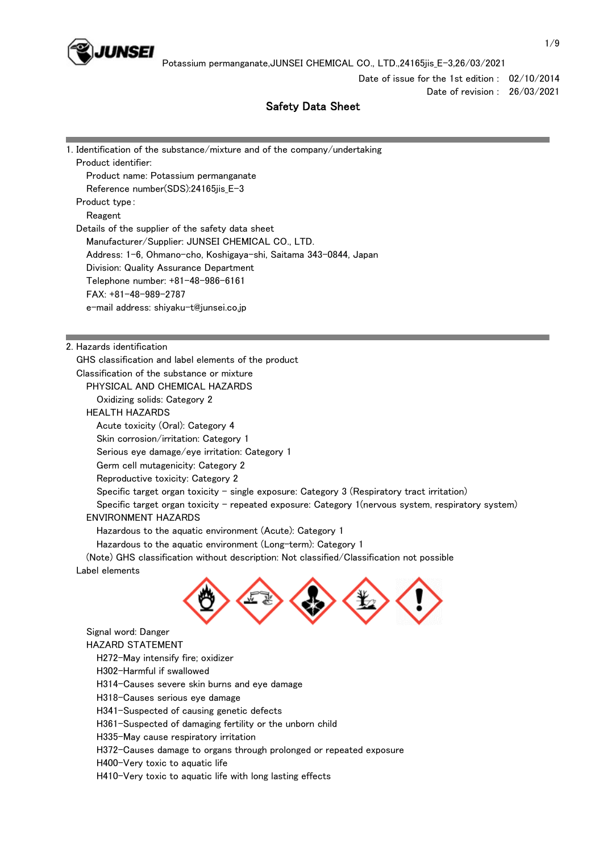

Date of issue for the 1st edition : 02/10/2014 Date of revision : 26/03/2021

# Safety Data Sheet

| 1. Identification of the substance/mixture and of the company/undertaking                           |
|-----------------------------------------------------------------------------------------------------|
| Product identifier:                                                                                 |
| Product name: Potassium permanganate                                                                |
| Reference number(SDS):24165jis_E-3                                                                  |
| Product type:                                                                                       |
| Reagent                                                                                             |
| Details of the supplier of the safety data sheet                                                    |
| Manufacturer/Supplier: JUNSEI CHEMICAL CO., LTD.                                                    |
| Address: 1-6, Ohmano-cho, Koshigaya-shi, Saitama 343-0844, Japan                                    |
| Division: Quality Assurance Department                                                              |
| Telephone number: +81-48-986-6161                                                                   |
| FAX: +81-48-989-2787                                                                                |
| e-mail address: shiyaku-t@junsei.co.jp                                                              |
|                                                                                                     |
| 2. Hazards identification                                                                           |
| GHS classification and label elements of the product                                                |
| Classification of the substance or mixture                                                          |
| PHYSICAL AND CHEMICAL HAZARDS                                                                       |
| Oxidizing solids: Category 2                                                                        |
| <b>HEALTH HAZARDS</b>                                                                               |
| Acute toxicity (Oral): Category 4                                                                   |
| Skin corrosion/irritation: Category 1                                                               |
| Serious eye damage/eye irritation: Category 1                                                       |
| Germ cell mutagenicity: Category 2                                                                  |
| Reproductive toxicity: Category 2                                                                   |
| Specific target organ toxicity – single exposure: Category $3$ (Respiratory tract irritation)       |
| Specific target organ toxicity - repeated exposure: Category 1 (nervous system, respiratory system) |
| <b>ENVIRONMENT HAZARDS</b>                                                                          |
| Hazardous to the aquatic environment (Acute): Category 1                                            |
| Hazardous to the aquatic environment (Long-term): Category 1                                        |
| (Note) GHS classification without description: Not classified/Classification not possible           |
| Label elements                                                                                      |
|                                                                                                     |
| Signal word: Danger                                                                                 |
| <b>HAZARD STATEMENT</b>                                                                             |
| H272-May intensify fire; oxidizer                                                                   |
| H302-Harmful if swallowed                                                                           |
| H314-Causes severe skin burns and eye damage                                                        |
| H318-Causes serious eye damage                                                                      |
| H341-Suspected of causing genetic defects                                                           |

H361-Suspected of damaging fertility or the unborn child

H335-May cause respiratory irritation

H372-Causes damage to organs through prolonged or repeated exposure

H400-Very toxic to aquatic life

H410-Very toxic to aquatic life with long lasting effects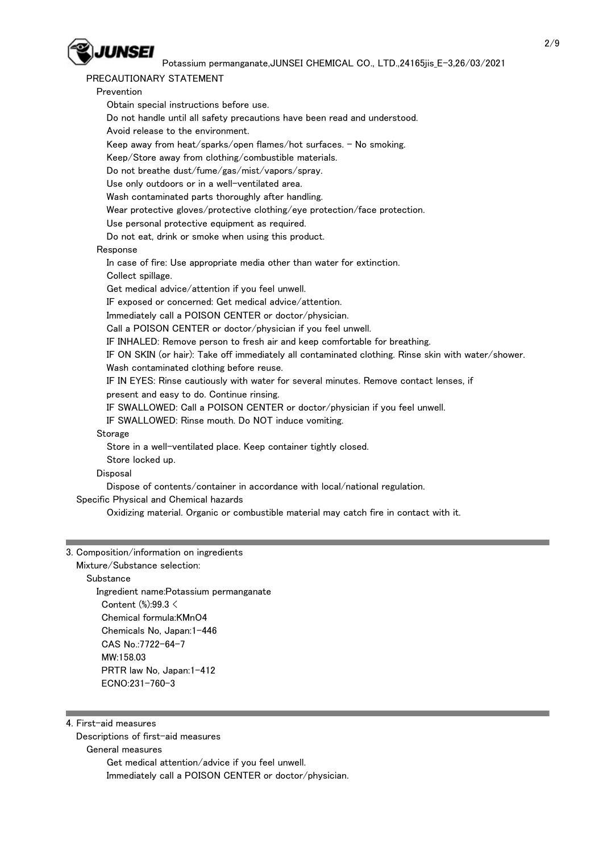

| PRECAUTIONARY STATEMENT                                                                             |
|-----------------------------------------------------------------------------------------------------|
| Prevention                                                                                          |
| Obtain special instructions before use.                                                             |
| Do not handle until all safety precautions have been read and understood.                           |
| Avoid release to the environment.                                                                   |
| Keep away from heat/sparks/open flames/hot surfaces. - No smoking.                                  |
| Keep/Store away from clothing/combustible materials.                                                |
| Do not breathe dust/fume/gas/mist/vapors/spray.                                                     |
| Use only outdoors or in a well-ventilated area.                                                     |
| Wash contaminated parts thoroughly after handling.                                                  |
| Wear protective gloves/protective clothing/eye protection/face protection.                          |
| Use personal protective equipment as required.                                                      |
| Do not eat, drink or smoke when using this product.                                                 |
| Response                                                                                            |
| In case of fire: Use appropriate media other than water for extinction.                             |
| Collect spillage.                                                                                   |
| Get medical advice/attention if you feel unwell.                                                    |
| IF exposed or concerned: Get medical advice/attention.                                              |
| Immediately call a POISON CENTER or doctor/physician.                                               |
| Call a POISON CENTER or doctor/physician if you feel unwell.                                        |
| IF INHALED: Remove person to fresh air and keep comfortable for breathing.                          |
| IF ON SKIN (or hair): Take off immediately all contaminated clothing. Rinse skin with water/shower. |
| Wash contaminated clothing before reuse.                                                            |
| IF IN EYES: Rinse cautiously with water for several minutes. Remove contact lenses, if              |
| present and easy to do. Continue rinsing.                                                           |
| IF SWALLOWED: Call a POISON CENTER or doctor/physician if you feel unwell.                          |
| IF SWALLOWED: Rinse mouth. Do NOT induce vomiting.                                                  |
| <b>Storage</b>                                                                                      |
| Store in a well-ventilated place. Keep container tightly closed.                                    |
| Store locked up.                                                                                    |
| Disposal                                                                                            |
| Dispose of contents/container in accordance with local/national regulation.                         |
| Specific Physical and Chemical hazards                                                              |
| Oxidizing material. Organic or combustible material may catch fire in contact with it.              |

## 3. Composition/information on ingredients

 Mixture/Substance selection: Substance Ingredient name:Potassium permanganate Content (%):99.3 < Chemical formula:KMnO4 Chemicals No, Japan:1-446 CAS No.:7722-64-7 MW:158.03

> PRTR law No, Japan:1-412 ECNO:231-760-3

4. First-aid measures

Descriptions of first-aid measures

General measures

Get medical attention/advice if you feel unwell.

Immediately call a POISON CENTER or doctor/physician.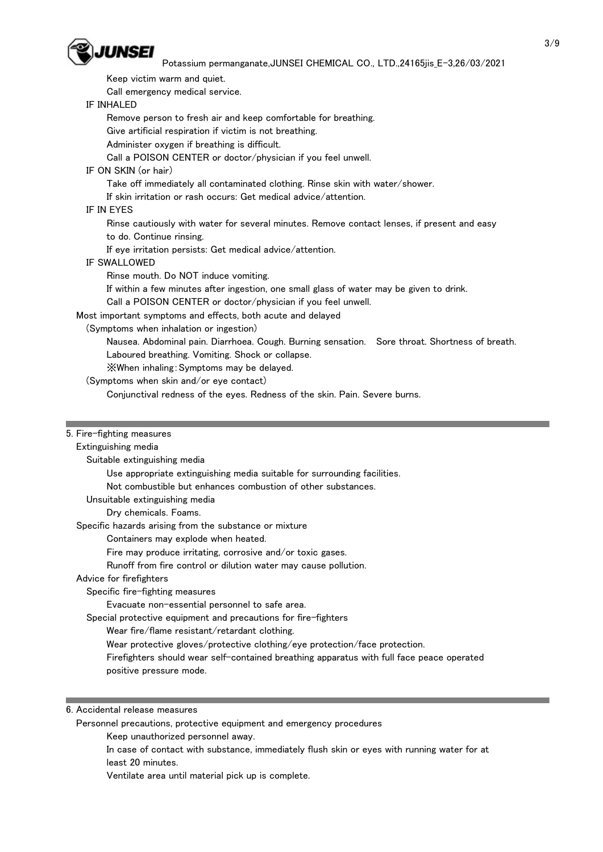

 Keep victim warm and quiet. Call emergency medical service. IF INHALED Remove person to fresh air and keep comfortable for breathing. Give artificial respiration if victim is not breathing. Administer oxygen if breathing is difficult. Call a POISON CENTER or doctor/physician if you feel unwell. IF ON SKIN (or hair) Take off immediately all contaminated clothing. Rinse skin with water/shower.

If skin irritation or rash occurs: Get medical advice/attention.

## IF IN EYES

 Rinse cautiously with water for several minutes. Remove contact lenses, if present and easy to do. Continue rinsing.

If eye irritation persists: Get medical advice/attention.

### IF SWALLOWED

Rinse mouth. Do NOT induce vomiting.

If within a few minutes after ingestion, one small glass of water may be given to drink.

Call a POISON CENTER or doctor/physician if you feel unwell.

Most important symptoms and effects, both acute and delayed

(Symptoms when inhalation or ingestion)

 Nausea. Abdominal pain. Diarrhoea. Cough. Burning sensation. Sore throat. Shortness of breath. Laboured breathing. Vomiting. Shock or collapse.

※When inhaling:Symptoms may be delayed.

(Symptoms when skin and/or eye contact)

Conjunctival redness of the eyes. Redness of the skin. Pain. Severe burns.

#### 5. Fire-fighting measures

#### Extinguishing media

Suitable extinguishing media

Use appropriate extinguishing media suitable for surrounding facilities.

Not combustible but enhances combustion of other substances.

Unsuitable extinguishing media

Dry chemicals. Foams.

Specific hazards arising from the substance or mixture

Containers may explode when heated.

Fire may produce irritating, corrosive and/or toxic gases.

Runoff from fire control or dilution water may cause pollution.

#### Advice for firefighters

Specific fire-fighting measures

Evacuate non-essential personnel to safe area.

Special protective equipment and precautions for fire-fighters

Wear fire/flame resistant/retardant clothing.

Wear protective gloves/protective clothing/eye protection/face protection.

 Firefighters should wear self-contained breathing apparatus with full face peace operated positive pressure mode.

Personnel precautions, protective equipment and emergency procedures

Keep unauthorized personnel away.

 In case of contact with substance, immediately flush skin or eyes with running water for at least 20 minutes.

Ventilate area until material pick up is complete.

<sup>6.</sup> Accidental release measures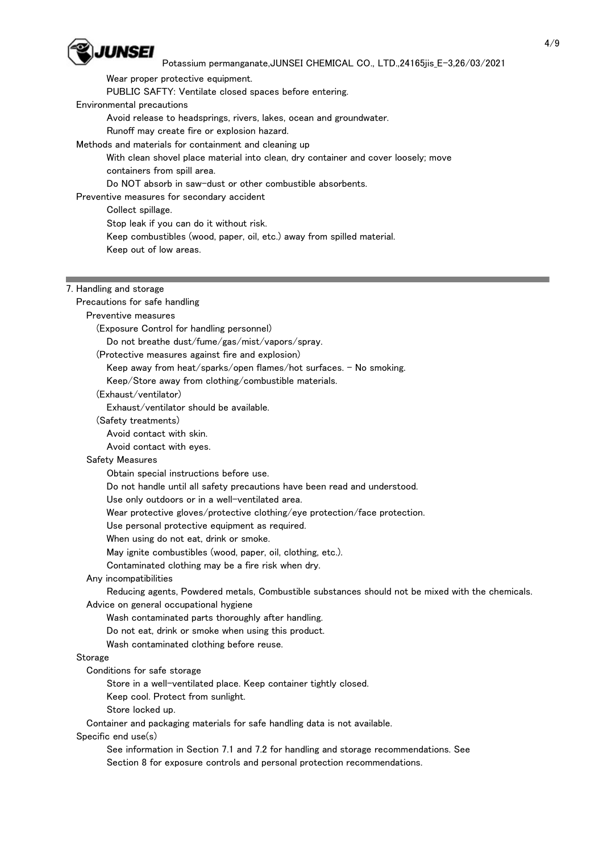

 Wear proper protective equipment. PUBLIC SAFTY: Ventilate closed spaces before entering. Environmental precautions Avoid release to headsprings, rivers, lakes, ocean and groundwater. Runoff may create fire or explosion hazard. Methods and materials for containment and cleaning up With clean shovel place material into clean, dry container and cover loosely; move containers from spill area. Do NOT absorb in saw-dust or other combustible absorbents. Preventive measures for secondary accident Collect spillage. Stop leak if you can do it without risk. Keep combustibles (wood, paper, oil, etc.) away from spilled material. Keep out of low areas.

## 7. Handling and storage

| Preventive measures<br>(Exposure Control for handling personnel)<br>Do not breathe dust/fume/gas/mist/vapors/spray.<br>(Protective measures against fire and explosion)<br>Keep away from heat/sparks/open flames/hot surfaces. - No smoking.<br>Keep/Store away from clothing/combustible materials.<br>(Exhaust/ventilator)<br>Exhaust/ventilator should be available. |  |
|--------------------------------------------------------------------------------------------------------------------------------------------------------------------------------------------------------------------------------------------------------------------------------------------------------------------------------------------------------------------------|--|
|                                                                                                                                                                                                                                                                                                                                                                          |  |
|                                                                                                                                                                                                                                                                                                                                                                          |  |
|                                                                                                                                                                                                                                                                                                                                                                          |  |
|                                                                                                                                                                                                                                                                                                                                                                          |  |
|                                                                                                                                                                                                                                                                                                                                                                          |  |
|                                                                                                                                                                                                                                                                                                                                                                          |  |
|                                                                                                                                                                                                                                                                                                                                                                          |  |
|                                                                                                                                                                                                                                                                                                                                                                          |  |
| (Safety treatments)                                                                                                                                                                                                                                                                                                                                                      |  |
| Avoid contact with skin.                                                                                                                                                                                                                                                                                                                                                 |  |
| Avoid contact with eyes.                                                                                                                                                                                                                                                                                                                                                 |  |
| <b>Safety Measures</b>                                                                                                                                                                                                                                                                                                                                                   |  |
| Obtain special instructions before use.                                                                                                                                                                                                                                                                                                                                  |  |
| Do not handle until all safety precautions have been read and understood.                                                                                                                                                                                                                                                                                                |  |
| Use only outdoors or in a well-ventilated area.                                                                                                                                                                                                                                                                                                                          |  |
| Wear protective gloves/protective clothing/eye protection/face protection.                                                                                                                                                                                                                                                                                               |  |
| Use personal protective equipment as required.                                                                                                                                                                                                                                                                                                                           |  |
| When using do not eat, drink or smoke.                                                                                                                                                                                                                                                                                                                                   |  |
| May ignite combustibles (wood, paper, oil, clothing, etc.).                                                                                                                                                                                                                                                                                                              |  |
| Contaminated clothing may be a fire risk when dry.                                                                                                                                                                                                                                                                                                                       |  |
| Any incompatibilities                                                                                                                                                                                                                                                                                                                                                    |  |
| Reducing agents, Powdered metals, Combustible substances should not be mixed with the chemicals.                                                                                                                                                                                                                                                                         |  |
| Advice on general occupational hygiene                                                                                                                                                                                                                                                                                                                                   |  |
| Wash contaminated parts thoroughly after handling.                                                                                                                                                                                                                                                                                                                       |  |
| Do not eat, drink or smoke when using this product.                                                                                                                                                                                                                                                                                                                      |  |
| Wash contaminated clothing before reuse.                                                                                                                                                                                                                                                                                                                                 |  |
| Storage                                                                                                                                                                                                                                                                                                                                                                  |  |
| Conditions for safe storage                                                                                                                                                                                                                                                                                                                                              |  |
| Store in a well-ventilated place. Keep container tightly closed.                                                                                                                                                                                                                                                                                                         |  |
| Keep cool. Protect from sunlight.                                                                                                                                                                                                                                                                                                                                        |  |
| Store locked up.                                                                                                                                                                                                                                                                                                                                                         |  |
| Container and packaging materials for safe handling data is not available.                                                                                                                                                                                                                                                                                               |  |
| Specific end use(s)                                                                                                                                                                                                                                                                                                                                                      |  |
| See information in Section 7.1 and 7.2 for handling and storage recommendations. See                                                                                                                                                                                                                                                                                     |  |
| Section 8 for exposure controls and personal protection recommendations.                                                                                                                                                                                                                                                                                                 |  |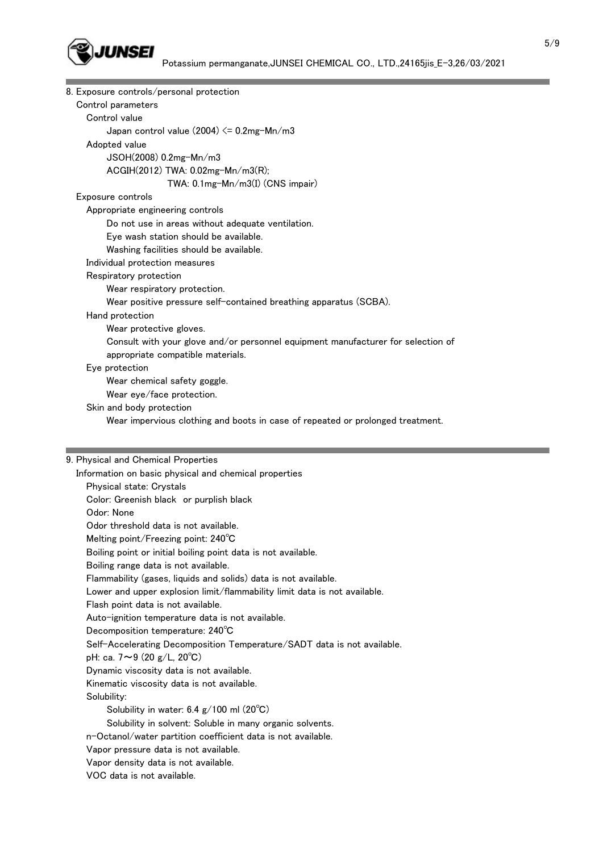

| 8. Exposure controls/personal protection                                         |
|----------------------------------------------------------------------------------|
| Control parameters                                                               |
| Control value                                                                    |
| Japan control value $(2004) \le 0.2$ mg-Mn/m3                                    |
| Adopted value                                                                    |
| $JSOH(2008) 0.2mg-Mn/m3$                                                         |
| ACGIH(2012) TWA: 0.02mg-Mn/m3(R);                                                |
| TWA: $0.1mg-Mn/m3(I)$ (CNS impair)                                               |
| Exposure controls                                                                |
| Appropriate engineering controls                                                 |
| Do not use in areas without adequate ventilation.                                |
| Eye wash station should be available.                                            |
| Washing facilities should be available.                                          |
| Individual protection measures                                                   |
| Respiratory protection                                                           |
| Wear respiratory protection.                                                     |
| Wear positive pressure self-contained breathing apparatus (SCBA).                |
| Hand protection                                                                  |
| Wear protective gloves.                                                          |
| Consult with your glove and/or personnel equipment manufacturer for selection of |
| appropriate compatible materials.                                                |
| Eye protection                                                                   |
| Wear chemical safety goggle.                                                     |
| Wear eye/face protection.                                                        |
| Skin and body protection                                                         |
| Wear impervious clothing and boots in case of repeated or prolonged treatment.   |
|                                                                                  |
|                                                                                  |

## 9. Physical and Chemical Properties

| Information on basic physical and chemical properties                     |
|---------------------------------------------------------------------------|
| <b>Physical state: Crystals</b>                                           |
| Color: Greenish black or purplish black                                   |
| Odor: None                                                                |
| Odor threshold data is not available.                                     |
| Melting point/Freezing point: $240^{\circ}$ C                             |
| Boiling point or initial boiling point data is not available.             |
| Boiling range data is not available.                                      |
| Flammability (gases, liquids and solids) data is not available.           |
| Lower and upper explosion limit/flammability limit data is not available. |
| Flash point data is not available.                                        |
| Auto-ignition temperature data is not available.                          |
| Decomposition temperature: 240°C                                          |
| Self-Accelerating Decomposition Temperature/SADT data is not available.   |
| pH: ca. $7{\sim}9$ (20 g/L, 20°C)                                         |
| Dynamic viscosity data is not available.                                  |
| Kinematic viscosity data is not available.                                |
| Solubility:                                                               |
| Solubility in water: $6.4$ g/100 ml (20°C)                                |
| Solubility in solvent: Soluble in many organic solvents.                  |
| n-Octanol/water partition coefficient data is not available.              |
| Vapor pressure data is not available.                                     |
| Vapor density data is not available.                                      |
| VOC data is not available.                                                |
|                                                                           |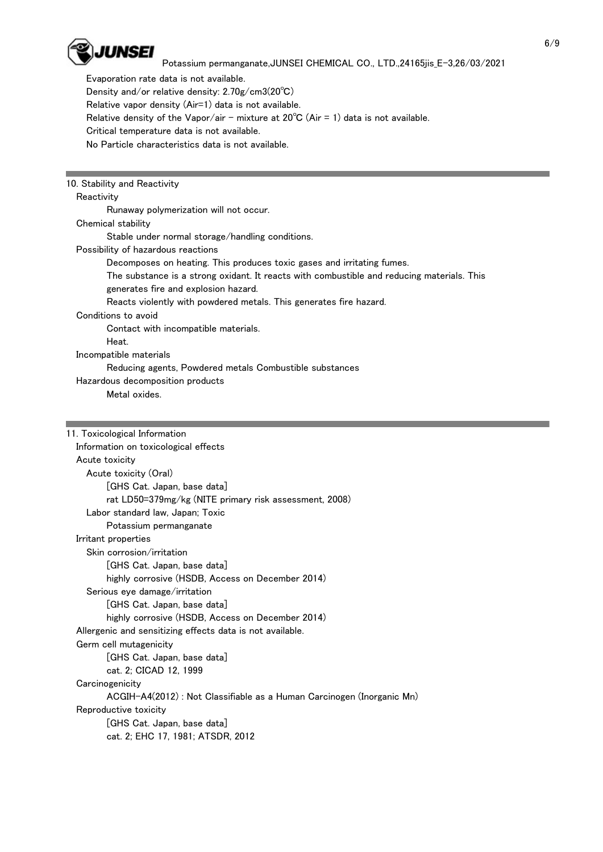

 Evaporation rate data is not available. Density and/or relative density: 2.70g/cm3(20℃) Relative vapor density (Air=1) data is not available. Relative density of the Vapor/air - mixture at  $20^{\circ}C$  (Air = 1) data is not available. Critical temperature data is not available. No Particle characteristics data is not available.

10. Stability and Reactivity **Reactivity**  Runaway polymerization will not occur. Chemical stability Stable under normal storage/handling conditions. Possibility of hazardous reactions Decomposes on heating. This produces toxic gases and irritating fumes. The substance is a strong oxidant. It reacts with combustible and reducing materials. This generates fire and explosion hazard. Reacts violently with powdered metals. This generates fire hazard. Conditions to avoid Contact with incompatible materials. Heat. Incompatible materials Reducing agents, Powdered metals Combustible substances Hazardous decomposition products Metal oxides.

| 11. Toxicological Information                                         |
|-----------------------------------------------------------------------|
| Information on toxicological effects                                  |
| Acute toxicity                                                        |
| Acute toxicity (Oral)                                                 |
| [GHS Cat. Japan, base data]                                           |
| rat LD50=379mg/kg (NITE primary risk assessment, 2008)                |
| Labor standard law, Japan; Toxic                                      |
| Potassium permanganate                                                |
| Irritant properties                                                   |
| Skin corrosion/irritation                                             |
| [GHS Cat. Japan, base data]                                           |
| highly corrosive (HSDB, Access on December 2014)                      |
| Serious eye damage/irritation                                         |
| [GHS Cat. Japan, base data]                                           |
| highly corrosive (HSDB, Access on December 2014)                      |
| Allergenic and sensitizing effects data is not available.             |
| Germ cell mutagenicity                                                |
| [GHS Cat. Japan, base data]                                           |
| cat. 2; CICAD 12, 1999                                                |
| Carcinogenicity                                                       |
| ACGIH-A4(2012): Not Classifiable as a Human Carcinogen (Inorganic Mn) |
| Reproductive toxicity                                                 |
| [GHS Cat. Japan, base data]                                           |
| cat. 2; EHC 17, 1981; ATSDR, 2012                                     |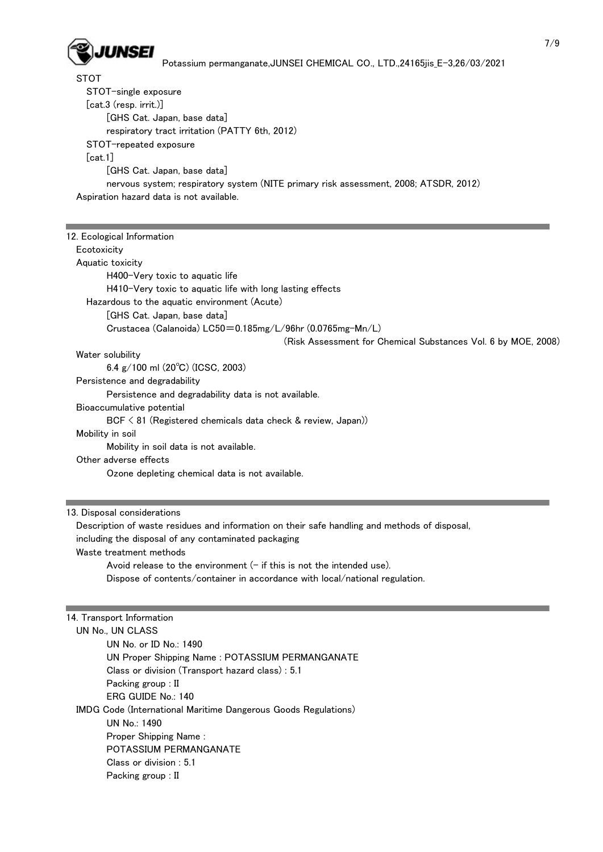

STOT

 STOT-single exposure [cat.3 (resp. irrit.)] [GHS Cat. Japan, base data] respiratory tract irritation (PATTY 6th, 2012) STOT-repeated exposure

[cat.1]

[GHS Cat. Japan, base data]

 nervous system; respiratory system (NITE primary risk assessment, 2008; ATSDR, 2012) Aspiration hazard data is not available.

|                  | 12. Ecological Information                                                                    |
|------------------|-----------------------------------------------------------------------------------------------|
| Ecotoxicity      |                                                                                               |
| Aquatic toxicity |                                                                                               |
|                  | H400-Very toxic to aquatic life                                                               |
|                  | H410-Very toxic to aquatic life with long lasting effects                                     |
|                  | Hazardous to the aquatic environment (Acute)                                                  |
|                  | [GHS Cat. Japan, base data]                                                                   |
|                  | Crustacea (Calanoida) LC50=0.185mg/L/96hr (0.0765mg-Mn/L)                                     |
|                  | (Risk Assessment for Chemical Substances Vol. 6 by MOE, 2008)                                 |
| Water solubility |                                                                                               |
|                  | 6.4 g/100 ml $(20^{\circ}C)$ (ICSC, 2003)                                                     |
|                  | Persistence and degradability                                                                 |
|                  | Persistence and degradability data is not available.                                          |
|                  | Bioaccumulative potential                                                                     |
|                  | $BCF \leq 81$ (Registered chemicals data check & review, Japan))                              |
| Mobility in soil |                                                                                               |
|                  | Mobility in soil data is not available.                                                       |
|                  | Other adverse effects                                                                         |
|                  | Ozone depleting chemical data is not available.                                               |
|                  |                                                                                               |
|                  |                                                                                               |
|                  | 13. Disposal considerations                                                                   |
|                  | Description of waste residues and information on their safe handling and methods of disposal, |
|                  | including the disposal of any contaminated packaging                                          |
|                  | Waste treatment methods                                                                       |
|                  | Avoid release to the environment $(-$ if this is not the intended use).                       |
|                  | Dispose of contents/container in accordance with local/national regulation.                   |
|                  |                                                                                               |
|                  | 14. Transport Information                                                                     |
|                  | UN No., UN CLASS                                                                              |
|                  | UN No. or ID No.: 1490                                                                        |
|                  | UN Proper Shipping Name: POTASSIUM PERMANGANATE                                               |
|                  | Class or division (Transport hazard class): 5.1                                               |
|                  | Packing group : II                                                                            |
|                  | ERG GUIDE No.: 140                                                                            |
|                  | IMDG Code (International Maritime Dangerous Goods Regulations)                                |
|                  | UN No.: 1490                                                                                  |
|                  |                                                                                               |
|                  | Proper Shipping Name:                                                                         |
|                  | POTASSIUM PERMANGANATE                                                                        |
|                  | Class or division : 5.1                                                                       |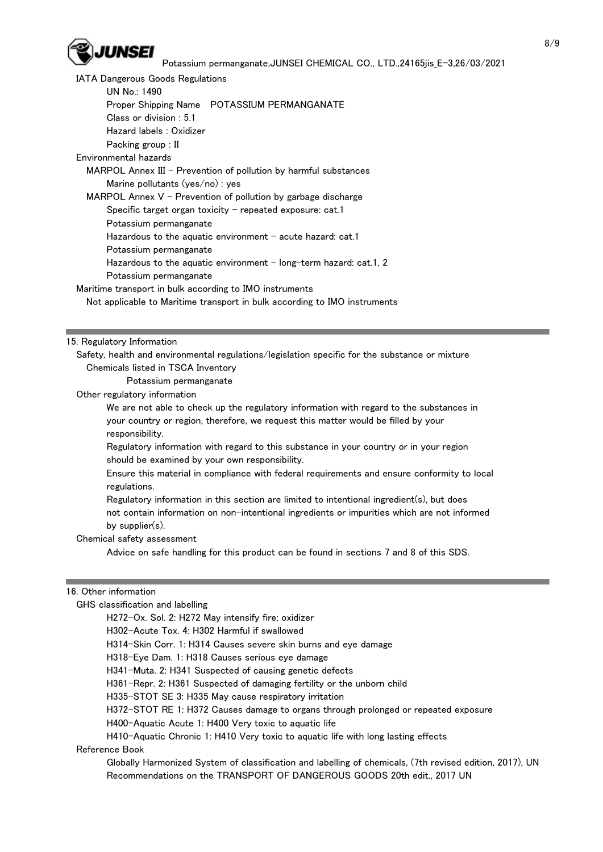

 IATA Dangerous Goods Regulations UN No.: 1490 Proper Shipping Name POTASSIUM PERMANGANATE Class or division : 5.1 Hazard labels : Oxidizer Packing group : II Environmental hazards MARPOL Annex III - Prevention of pollution by harmful substances Marine pollutants (yes/no) : yes MARPOL Annex V - Prevention of pollution by garbage discharge Specific target organ toxicity  $-$  repeated exposure: cat.1 Potassium permanganate Hazardous to the aquatic environment  $-$  acute hazard: cat.1 Potassium permanganate Hazardous to the aquatic environment  $-$  long-term hazard: cat.1, 2 Potassium permanganate Maritime transport in bulk according to IMO instruments

Not applicable to Maritime transport in bulk according to IMO instruments

15. Regulatory Information

 Safety, health and environmental regulations/legislation specific for the substance or mixture Chemicals listed in TSCA Inventory

Potassium permanganate

Other regulatory information

 We are not able to check up the regulatory information with regard to the substances in your country or region, therefore, we request this matter would be filled by your responsibility.

 Regulatory information with regard to this substance in your country or in your region should be examined by your own responsibility.

 Ensure this material in compliance with federal requirements and ensure conformity to local regulations.

 Regulatory information in this section are limited to intentional ingredient(s), but does not contain information on non-intentional ingredients or impurities which are not informed by supplier(s).

Chemical safety assessment

Advice on safe handling for this product can be found in sections 7 and 8 of this SDS.

16. Other information

GHS classification and labelling

H272-Ox. Sol. 2: H272 May intensify fire; oxidizer

H302-Acute Tox. 4: H302 Harmful if swallowed

H314-Skin Corr. 1: H314 Causes severe skin burns and eye damage

H318-Eye Dam. 1: H318 Causes serious eye damage

H341-Muta. 2: H341 Suspected of causing genetic defects

H361-Repr. 2: H361 Suspected of damaging fertility or the unborn child

H335-STOT SE 3: H335 May cause respiratory irritation

H372-STOT RE 1: H372 Causes damage to organs through prolonged or repeated exposure

H400-Aquatic Acute 1: H400 Very toxic to aquatic life

H410-Aquatic Chronic 1: H410 Very toxic to aquatic life with long lasting effects

## Reference Book

 Globally Harmonized System of classification and labelling of chemicals, (7th revised edition, 2017), UN Recommendations on the TRANSPORT OF DANGEROUS GOODS 20th edit., 2017 UN